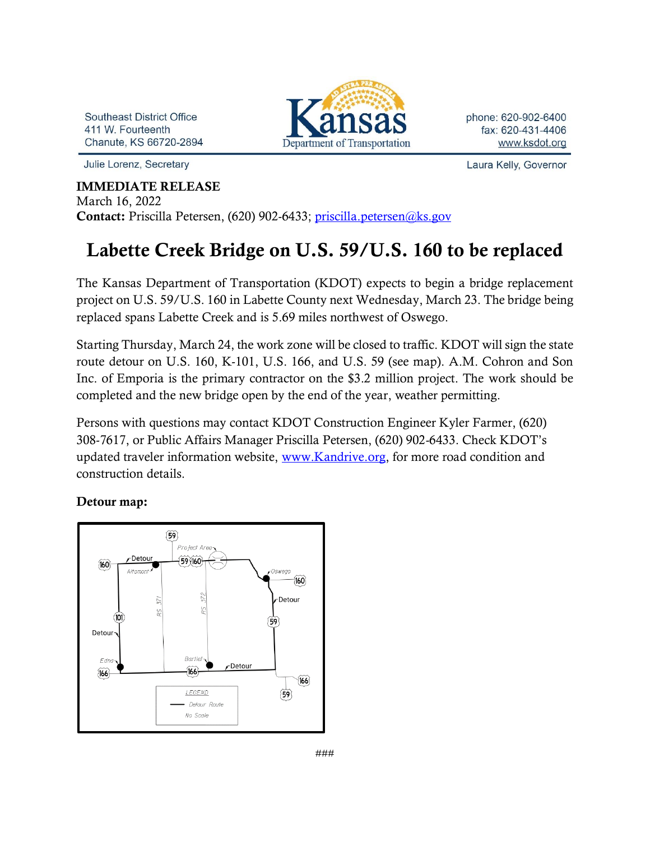**Southeast District Office** 411 W. Fourteenth Chanute, KS 66720-2894

Julie Lorenz, Secretary



phone: 620-902-6400 fax: 620-431-4406 www.ksdot.org

Laura Kelly, Governor

## IMMEDIATE RELEASE March 16, 2022 Contact: Priscilla Petersen, (620) 902-6433; [priscilla.petersen@ks.gov](mailto:priscilla.petersen@ks.gov)

## Labette Creek Bridge on U.S. 59/U.S. 160 to be replaced

The Kansas Department of Transportation (KDOT) expects to begin a bridge replacement project on U.S. 59/U.S. 160 in Labette County next Wednesday, March 23. The bridge being replaced spans Labette Creek and is 5.69 miles northwest of Oswego.

Starting Thursday, March 24, the work zone will be closed to traffic. KDOT will sign the state route detour on U.S. 160, K-101, U.S. 166, and U.S. 59 (see map). A.M. Cohron and Son Inc. of Emporia is the primary contractor on the \$3.2 million project. The work should be completed and the new bridge open by the end of the year, weather permitting.

Persons with questions may contact KDOT Construction Engineer Kyler Farmer, (620) 308-7617, or Public Affairs Manager Priscilla Petersen, (620) 902-6433. Check KDOT's updated traveler information website, [www.Kandrive.org,](https://gcc02.safelinks.protection.outlook.com/?url=http%3A%2F%2Fwww.kandrive.org%2F&data=04%7C01%7CPriscilla.Petersen%40ks.gov%7Cdcb00f1b6f664695077b08d90e7703fa%7Cdcae8101c92d480cbc43c6761ccccc5a%7C0%7C0%7C637556726660099743%7CUnknown%7CTWFpbGZsb3d8eyJWIjoiMC4wLjAwMDAiLCJQIjoiV2luMzIiLCJBTiI6Ik1haWwiLCJXVCI6Mn0%3D%7C1000&sdata=I6T4H1iOO%2BqTZbx%2B53B3%2Feqo2%2BZp4j9%2Bba6a8q9WkqM%3D&reserved=0) for more road condition and construction details.

Detour map: